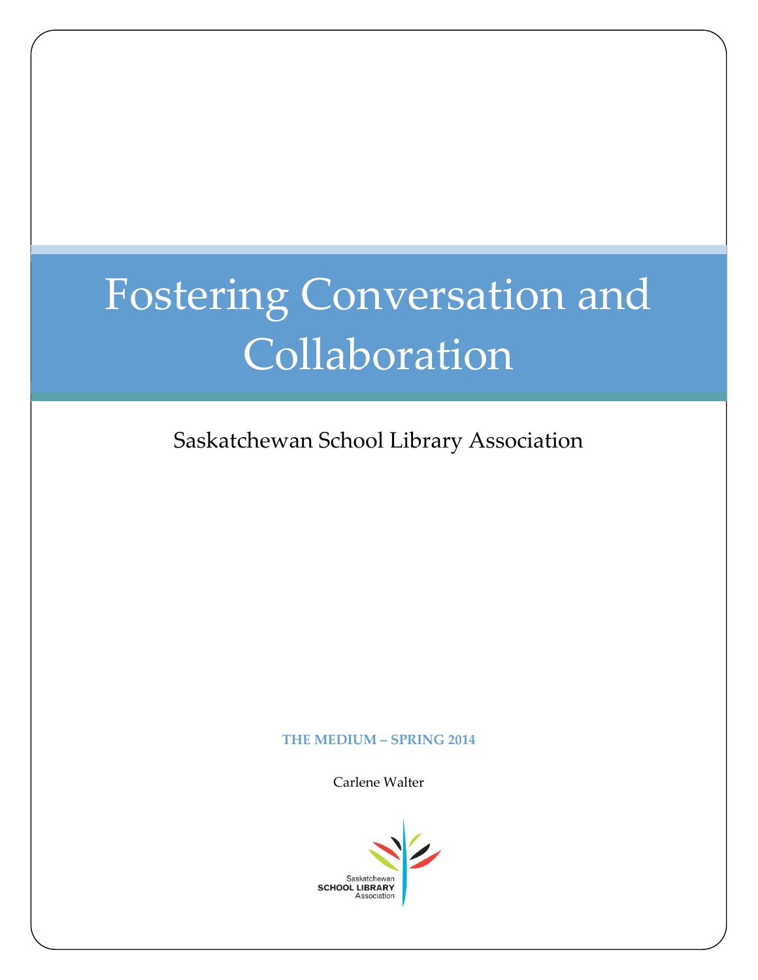# Fostering Conversation and Collaboration

Saskatchewan School Library Association

#### **THE MEDIUM – SPRING 2014**

Carlene Walter

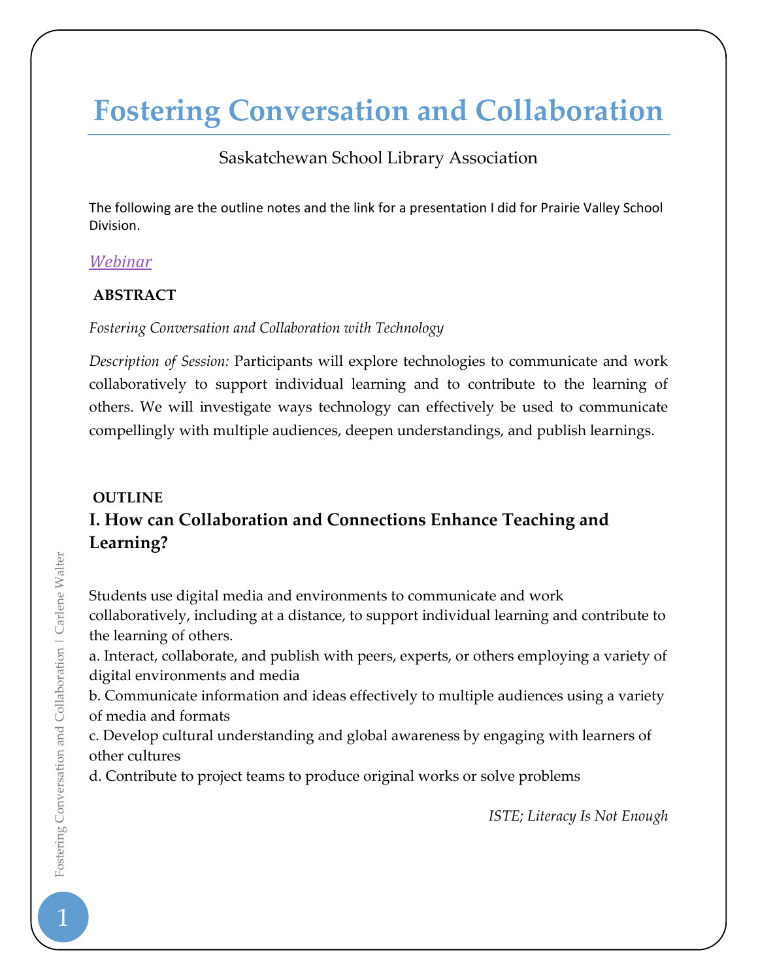# **Fostering Conversation and Collaboration**

# Saskatchewan School Library Association

The following are the outline notes and the link for a presentation I did for Prairie Valley School Division.

# *[Webinar](http://connect.edonline.sk.ca/p48f7alc4yi/)*

# **ABSTRACT**

#### *Fostering Conversation and Collaboration with Technology*

*Description of Session:* Participants will explore technologies to communicate and work collaboratively to support individual learning and to contribute to the learning of others. We will investigate ways technology can effectively be used to communicate compellingly with multiple audiences, deepen understandings, and publish learnings.

# **OUTLINE I. How can Collaboration and Connections Enhance Teaching and Learning?**

Students use digital media and environments to communicate and work collaboratively, including at a distance, to support individual learning and contribute to the learning of others.

a. Interact, collaborate, and publish with peers, experts, or others employing a variety of digital environments and media

b. Communicate information and ideas effectively to multiple audiences using a variety of media and formats

c. Develop cultural understanding and global awareness by engaging with learners of other cultures

d. Contribute to project teams to produce original works or solve problems

*ISTE; Literacy Is Not Enough*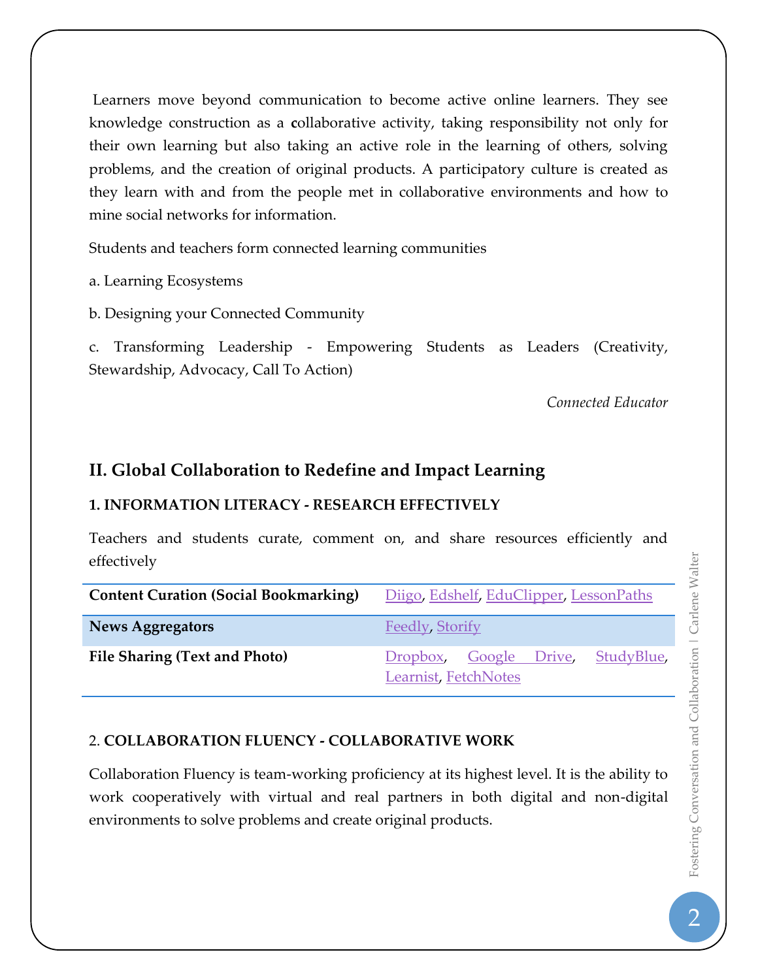Learners move beyond communication to become active online learners. They see knowledge construction as a **c**ollaborative activity, taking responsibility not only for their own learning but also taking an active role in the learning of others, solving problems, and the creation of original products. A participatory culture is created as they learn with and from the people met in collaborative environments and how to mine social networks for information.

Students and teachers form connected learning communities

a. Learning Ecosystems

b. Designing your Connected Community

c. Transforming Leadership - Empowering Students as Leaders (Creativity, Stewardship, Advocacy, Call To Action)

*Connected Educator*

# **II. Global Collaboration to Redefine and Impact Learning**

# **1. INFORMATION LITERACY - RESEARCH EFFECTIVELY**

Teachers and students curate, comment on, and share resources efficiently and effectively

| <b>Content Curation (Social Bookmarking)</b> | Diigo, Edshelf, EduClipper, LessonPaths                   |
|----------------------------------------------|-----------------------------------------------------------|
| <b>News Aggregators</b>                      | Feedly, Storify                                           |
| File Sharing (Text and Photo)                | Dropbox, Google Drive, StudyBlue,<br>Learnist, FetchNotes |

# 2. **COLLABORATION FLUENCY - COLLABORATIVE WORK**

Collaboration Fluency is team-working proficiency at its highest level. It is the ability to work cooperatively with virtual and real partners in both digital and non-digital environments to solve problems and create original products.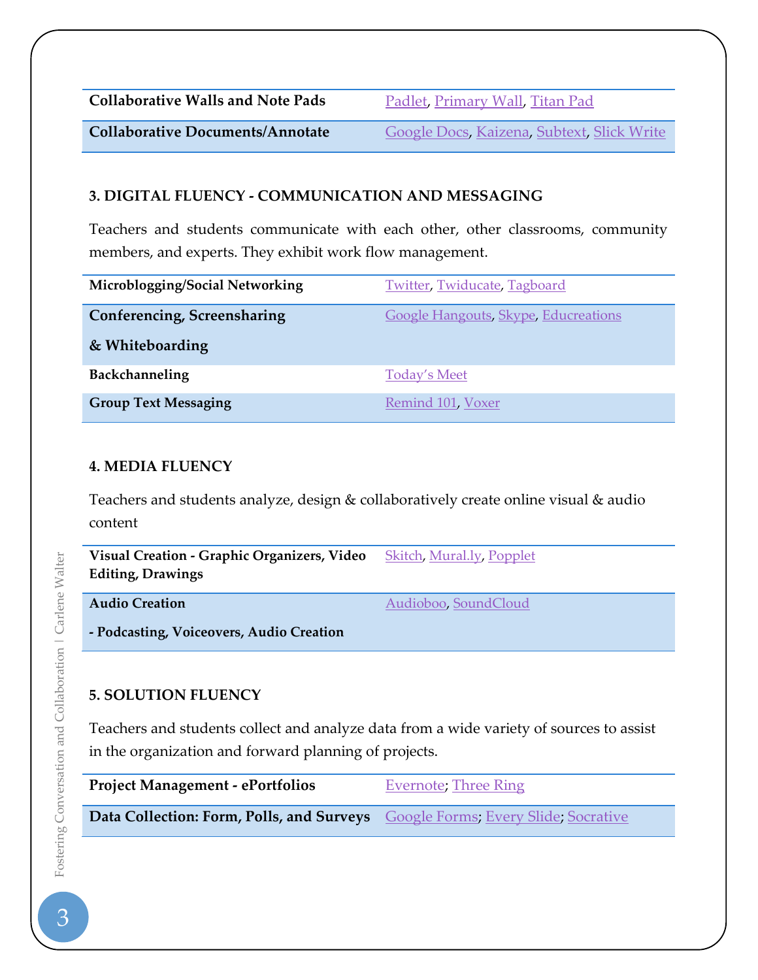| <b>Collaborative Walls and Note Pads</b> | Padlet, Primary Wall, Titan Pad |
|------------------------------------------|---------------------------------|
|                                          |                                 |

**Collaborative Documents/Annotate** [Google Docs,](https://docs.google.com/) [Kaizena,](https://kaizena.com/) [Subtext,](https://itunes.apple.com/us/app/subtext/id457556753?mt=8) [Slick Write](https://www.slickwrite.com/)

#### **3. DIGITAL FLUENCY - COMMUNICATION AND MESSAGING**

Teachers and students communicate with each other, other classrooms, community members, and experts. They exhibit work flow management.

| Microblogging/Social Networking | <b>Twitter, Twiducate, Tagboard</b>         |
|---------------------------------|---------------------------------------------|
| Conferencing, Screensharing     | <b>Google Hangouts, Skype, Educreations</b> |
| & Whiteboarding                 |                                             |
| Backchanneling                  | <b>Today's Meet</b>                         |
| <b>Group Text Messaging</b>     | Remind 101, Voxer                           |

#### **4. MEDIA FLUENCY**

Teachers and students analyze, design & collaboratively create online visual & audio content

| Visual Creation - Graphic Organizers, Video<br><b>Editing, Drawings</b> | <b>Skitch, Mural.ly, Popplet</b> |
|-------------------------------------------------------------------------|----------------------------------|
| <b>Audio Creation</b>                                                   | Audioboo, SoundCloud             |
| - Podcasting, Voiceovers, Audio Creation                                |                                  |

# **5. SOLUTION FLUENCY**

Teachers and students collect and analyze data from a wide variety of sources to assist in the organization and forward planning of projects.

| <b>Project Management - ePortfolios</b>                                        | <b>Evernote</b> ; Three Ring |
|--------------------------------------------------------------------------------|------------------------------|
| Data Collection: Form, Polls, and Surveys Google Forms; Every Slide; Socrative |                              |